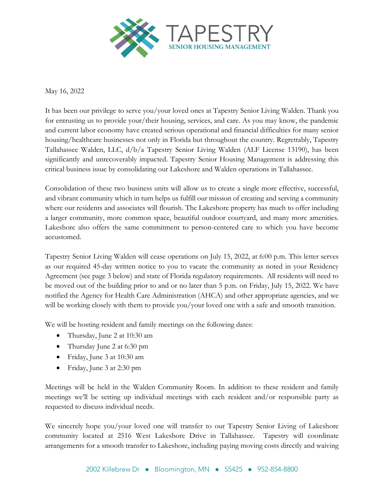

## May 16, 2022

It has been our privilege to serve you/your loved ones at Tapestry Senior Living Walden. Thank you for entrusting us to provide your/their housing, services, and care. As you may know, the pandemic and current labor economy have created serious operational and financial difficulties for many senior housing/healthcare businesses not only in Florida but throughout the country. Regrettably, Tapestry Tallahassee Walden, LLC, d/b/a Tapestry Senior Living Walden (ALF License 13190), has been significantly and unrecoverably impacted. Tapestry Senior Housing Management is addressing this critical business issue by consolidating our Lakeshore and Walden operations in Tallahassee.

Consolidation of these two business units will allow us to create a single more effective, successful, and vibrant community which in turn helps us fulfill our mission of creating and serving a community where our residents and associates will flourish. The Lakeshore property has much to offer including a larger community, more common space, beautiful outdoor courtyard, and many more amenities. Lakeshore also offers the same commitment to person-centered care to which you have become accustomed.

Tapestry Senior Living Walden will cease operations on July 15, 2022, at 6:00 p.m. This letter serves as our required 45-day written notice to you to vacate the community as noted in your Residency Agreement (see page 3 below) and state of Florida regulatory requirements. All residents will need to be moved out of the building prior to and or no later than 5 p.m. on Friday, July 15, 2022. We have notified the Agency for Health Care Administration (AHCA) and other appropriate agencies, and we will be working closely with them to provide you/your loved one with a safe and smooth transition.

We will be hosting resident and family meetings on the following dates:

- Thursday, June 2 at 10:30 am
- Thursday June 2 at 6:30 pm
- Friday, June 3 at 10:30 am
- Friday, June 3 at 2:30 pm

Meetings will be held in the Walden Community Room. In addition to these resident and family meetings we'll be setting up individual meetings with each resident and/or responsible party as requested to discuss individual needs.

We sincerely hope you/your loved one will transfer to our Tapestry Senior Living of Lakeshore community located at 2516 West Lakeshore Drive in Tallahassee. Tapestry will coordinate arrangements for a smooth transfer to Lakeshore, including paying moving costs directly and waiving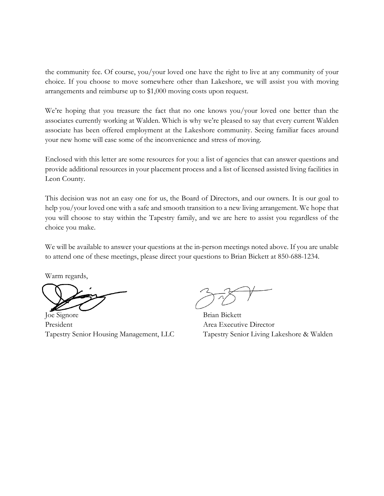the community fee. Of course, you/your loved one have the right to live at any community of your choice. If you choose to move somewhere other than Lakeshore, we will assist you with moving arrangements and reimburse up to \$1,000 moving costs upon request.

We're hoping that you treasure the fact that no one knows you/your loved one better than the associates currently working at Walden. Which is why we're pleased to say that every current Walden associate has been offered employment at the Lakeshore community. Seeing familiar faces around your new home will ease some of the inconvenience and stress of moving.

Enclosed with this letter are some resources for you: a list of agencies that can answer questions and provide additional resources in your placement process and a list of licensed assisted living facilities in Leon County.

This decision was not an easy one for us, the Board of Directors, and our owners. It is our goal to help you/your loved one with a safe and smooth transition to a new living arrangement. We hope that you will choose to stay within the Tapestry family, and we are here to assist you regardless of the choice you make.

We will be available to answer your questions at the in-person meetings noted above. If you are unable to attend one of these meetings, please direct your questions to Brian Bickett at 850-688-1234.

Warm regards,

Joe Signore Brian Bickett President **Area Executive Director** 

Tapestry Senior Housing Management, LLC Tapestry Senior Living Lakeshore & Walden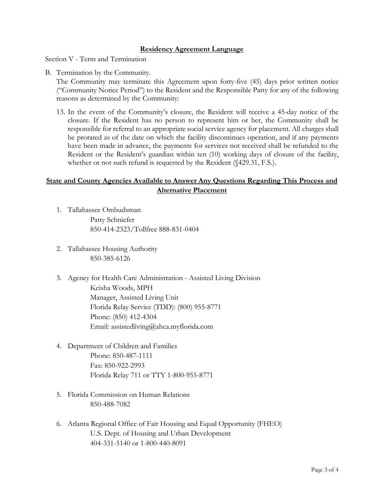## **Residency Agreement Language**

Section V - Term and Termination

B. Termination by the Community.

The Community may terminate this Agreement upon forty-five (45) days prior written notice ("Community Notice Period") to the Resident and the Responsible Party for any of the following reasons as determined by the Community:

13. In the event of the Community's closure, the Resident will receive a 45-day notice of the closure. If the Resident has no person to represent him or her, the Community shall be responsible for referral to an appropriate social service agency for placement. All charges shall be prorated as of the date on which the facility discontinues operation, and if any payments have been made in advance, the payments for services not received shall be refunded to the Resident or the Resident's guardian within ten (10) working days of closure of the facility, whether or not such refund is requested by the Resident (§429.31, F.S.).

## **State and County Agencies Available to Answer Any Questions Regarding This Process and Alternative Placement**

- 1. Tallahassee Ombudsman Patty Schniefer 850-414-2323/Tollfree 888-831-0404
- 2. Tallahassee Housing Authority 850-385-6126
- 3. Agency for Health Care Administration Assisted Living Division Keisha Woods, MPH Manager, Assisted Living Unit Florida Relay Service (TDD): (800) 955-8771 Phone: (850) 412-4304 Email: assistedliving@ahca.myflorida.com
- 4. Department of Children and Families Phone: 850-487-1111 Fax: 850-922-2993 Florida Relay 711 or TTY 1-800-955-8771
- 5. Florida Commission on Human Relations 850-488-7082
- 6. Atlanta Regional Office of Fair Housing and Equal Opportunity (FHEO) U.S. Dept. of Housing and Urban Development 404-331-5140 or 1-800-440-8091